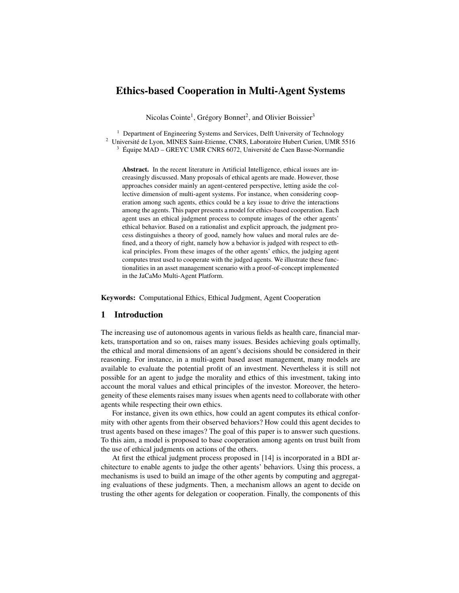# Ethics-based Cooperation in Multi-Agent Systems

Nicolas Cointe<sup>1</sup>, Grégory Bonnet<sup>2</sup>, and Olivier Boissier<sup>3</sup>

<sup>1</sup> Department of Engineering Systems and Services, Delft University of Technology <sup>2</sup> Université de Lyon, MINES Saint-Etienne, CNRS, Laboratoire Hubert Curien, UMR 5516

 $3\text{}$  Équipe MAD – GREYC UMR CNRS 6072, Université de Caen Basse-Normandie

Abstract. In the recent literature in Artificial Intelligence, ethical issues are increasingly discussed. Many proposals of ethical agents are made. However, those approaches consider mainly an agent-centered perspective, letting aside the collective dimension of multi-agent systems. For instance, when considering cooperation among such agents, ethics could be a key issue to drive the interactions among the agents. This paper presents a model for ethics-based cooperation. Each agent uses an ethical judgment process to compute images of the other agents' ethical behavior. Based on a rationalist and explicit approach, the judgment process distinguishes a theory of good, namely how values and moral rules are defined, and a theory of right, namely how a behavior is judged with respect to ethical principles. From these images of the other agents' ethics, the judging agent computes trust used to cooperate with the judged agents. We illustrate these functionalities in an asset management scenario with a proof-of-concept implemented in the JaCaMo Multi-Agent Platform.

Keywords: Computational Ethics, Ethical Judgment, Agent Cooperation

## 1 Introduction

The increasing use of autonomous agents in various fields as health care, financial markets, transportation and so on, raises many issues. Besides achieving goals optimally, the ethical and moral dimensions of an agent's decisions should be considered in their reasoning. For instance, in a multi-agent based asset management, many models are available to evaluate the potential profit of an investment. Nevertheless it is still not possible for an agent to judge the morality and ethics of this investment, taking into account the moral values and ethical principles of the investor. Moreover, the heterogeneity of these elements raises many issues when agents need to collaborate with other agents while respecting their own ethics.

For instance, given its own ethics, how could an agent computes its ethical conformity with other agents from their observed behaviors? How could this agent decides to trust agents based on these images? The goal of this paper is to answer such questions. To this aim, a model is proposed to base cooperation among agents on trust built from the use of ethical judgments on actions of the others.

At first the ethical judgment process proposed in [\[14\]](#page-12-0) is incorporated in a BDI architecture to enable agents to judge the other agents' behaviors. Using this process, a mechanisms is used to build an image of the other agents by computing and aggregating evaluations of these judgments. Then, a mechanism allows an agent to decide on trusting the other agents for delegation or cooperation. Finally, the components of this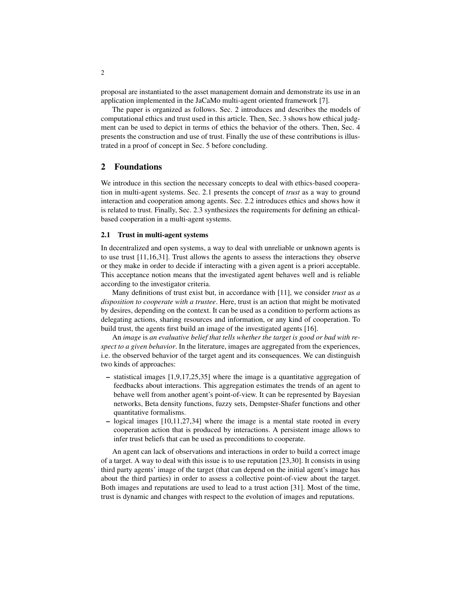proposal are instantiated to the asset management domain and demonstrate its use in an application implemented in the JaCaMo multi-agent oriented framework [\[7\]](#page-12-1).

The paper is organized as follows. Sec. [2](#page-1-0) introduces and describes the models of computational ethics and trust used in this article. Then, Sec. [3](#page-3-0) shows how ethical judgment can be used to depict in terms of ethics the behavior of the others. Then, Sec. [4](#page-6-0) presents the construction and use of trust. Finally the use of these contributions is illustrated in a proof of concept in Sec. [5](#page-8-0) before concluding.

## <span id="page-1-0"></span>2 Foundations

We introduce in this section the necessary concepts to deal with ethics-based cooperation in multi-agent systems. Sec. [2.1](#page-1-1) presents the concept of *trust* as a way to ground interaction and cooperation among agents. Sec. [2.2](#page-2-0) introduces ethics and shows how it is related to trust. Finally, Sec. [2.3](#page-2-1) synthesizes the requirements for defining an ethicalbased cooperation in a multi-agent systems.

### <span id="page-1-1"></span>2.1 Trust in multi-agent systems

In decentralized and open systems, a way to deal with unreliable or unknown agents is to use trust [\[11,](#page-12-2)[16,](#page-12-3)[31\]](#page-13-0). Trust allows the agents to assess the interactions they observe or they make in order to decide if interacting with a given agent is a priori acceptable. This acceptance notion means that the investigated agent behaves well and is reliable according to the investigator criteria.

Many definitions of trust exist but, in accordance with [\[11\]](#page-12-2), we consider *trust* as *a disposition to cooperate with a trustee*. Here, trust is an action that might be motivated by desires, depending on the context. It can be used as a condition to perform actions as delegating actions, sharing resources and information, or any kind of cooperation. To build trust, the agents first build an image of the investigated agents [\[16\]](#page-12-3).

An *image* is *an evaluative belief that tells whether the target is good or bad with respect to a given behavior*. In the literature, images are aggregated from the experiences, i.e. the observed behavior of the target agent and its consequences. We can distinguish two kinds of approaches:

- statistical images [\[1](#page-12-4)[,9](#page-12-5)[,17](#page-12-6)[,25](#page-13-1)[,35\]](#page-13-2) where the image is a quantitative aggregation of feedbacks about interactions. This aggregation estimates the trends of an agent to behave well from another agent's point-of-view. It can be represented by Bayesian networks, Beta density functions, fuzzy sets, Dempster-Shafer functions and other quantitative formalisms.
- logical images  $[10,11,27,34]$  $[10,11,27,34]$  $[10,11,27,34]$  $[10,11,27,34]$  where the image is a mental state rooted in every cooperation action that is produced by interactions. A persistent image allows to infer trust beliefs that can be used as preconditions to cooperate.

An agent can lack of observations and interactions in order to build a correct image of a target. A way to deal with this issue is to use reputation [\[23,](#page-13-5)[30\]](#page-13-6). It consists in using third party agents' image of the target (that can depend on the initial agent's image has about the third parties) in order to assess a collective point-of-view about the target. Both images and reputations are used to lead to a trust action [\[31\]](#page-13-0). Most of the time, trust is dynamic and changes with respect to the evolution of images and reputations.

2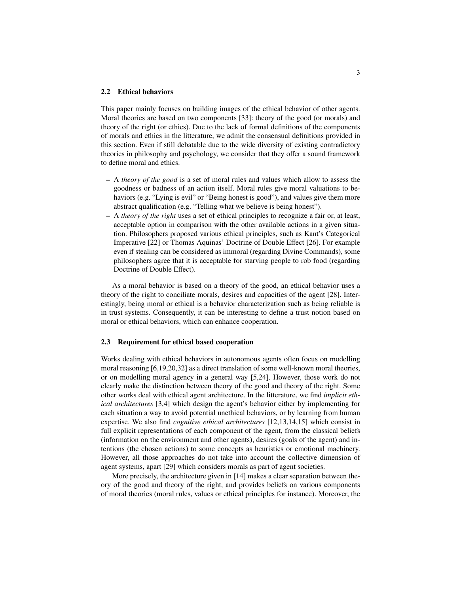#### <span id="page-2-0"></span>2.2 Ethical behaviors

This paper mainly focuses on building images of the ethical behavior of other agents. Moral theories are based on two components [\[33\]](#page-13-7): theory of the good (or morals) and theory of the right (or ethics). Due to the lack of formal definitions of the components of morals and ethics in the litterature, we admit the consensual definitions provided in this section. Even if still debatable due to the wide diversity of existing contradictory theories in philosophy and psychology, we consider that they offer a sound framework to define moral and ethics.

- A *theory of the good* is a set of moral rules and values which allow to assess the goodness or badness of an action itself. Moral rules give moral valuations to behaviors (e.g. "Lying is evil" or "Being honest is good"), and values give them more abstract qualification (e.g. "Telling what we believe is being honest").
- A *theory of the right* uses a set of ethical principles to recognize a fair or, at least, acceptable option in comparison with the other available actions in a given situation. Philosophers proposed various ethical principles, such as Kant's Categorical Imperative [\[22\]](#page-13-8) or Thomas Aquinas' Doctrine of Double Effect [\[26\]](#page-13-9). For example even if stealing can be considered as immoral (regarding Divine Commands), some philosophers agree that it is acceptable for starving people to rob food (regarding Doctrine of Double Effect).

As a moral behavior is based on a theory of the good, an ethical behavior uses a theory of the right to conciliate morals, desires and capacities of the agent [\[28\]](#page-13-10). Interestingly, being moral or ethical is a behavior characterization such as being reliable is in trust systems. Consequently, it can be interesting to define a trust notion based on moral or ethical behaviors, which can enhance cooperation.

#### <span id="page-2-1"></span>2.3 Requirement for ethical based cooperation

Works dealing with ethical behaviors in autonomous agents often focus on modelling moral reasoning [\[6](#page-12-8)[,19](#page-12-9)[,20,](#page-12-10)[32\]](#page-13-11) as a direct translation of some well-known moral theories, or on modelling moral agency in a general way [\[5,](#page-12-11)[24\]](#page-13-12). However, those work do not clearly make the distinction between theory of the good and theory of the right. Some other works deal with ethical agent architecture. In the litterature, we find *implicit ethical architectures* [\[3,](#page-12-12)[4\]](#page-12-13) which design the agent's behavior either by implementing for each situation a way to avoid potential unethical behaviors, or by learning from human expertise. We also find *cognitive ethical architectures* [\[12](#page-12-14)[,13](#page-12-15)[,14](#page-12-0)[,15\]](#page-12-16) which consist in full explicit representations of each component of the agent, from the classical beliefs (information on the environment and other agents), desires (goals of the agent) and intentions (the chosen actions) to some concepts as heuristics or emotional machinery. However, all those approaches do not take into account the collective dimension of agent systems, apart [\[29\]](#page-13-13) which considers morals as part of agent societies.

More precisely, the architecture given in [\[14\]](#page-12-0) makes a clear separation between theory of the good and theory of the right, and provides beliefs on various components of moral theories (moral rules, values or ethical principles for instance). Moreover, the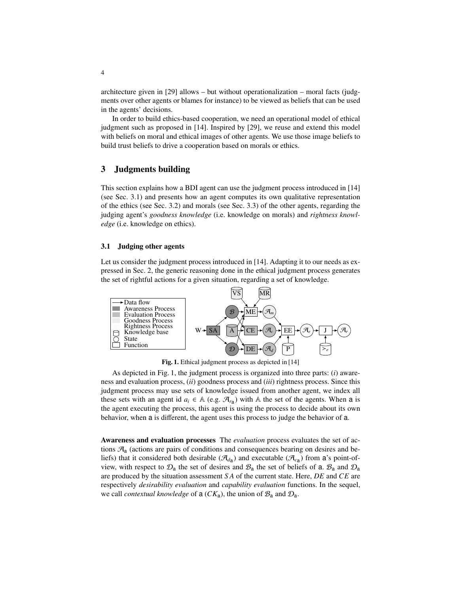architecture given in  $[29]$  allows – but without operationalization – moral facts (judgments over other agents or blames for instance) to be viewed as beliefs that can be used in the agents' decisions.

In order to build ethics-based cooperation, we need an operational model of ethical judgment such as proposed in [\[14\]](#page-12-0). Inspired by [\[29\]](#page-13-13), we reuse and extend this model with beliefs on moral and ethical images of other agents. We use those image beliefs to build trust beliefs to drive a cooperation based on morals or ethics.

## <span id="page-3-0"></span>3 Judgments building

This section explains how a BDI agent can use the judgment process introduced in [\[14\]](#page-12-0) (see Sec. [3.1\)](#page-3-1) and presents how an agent computes its own qualitative representation of the ethics (see Sec. [3.2\)](#page-4-0) and morals (see Sec. [3.3\)](#page-5-0) of the other agents, regarding the judging agent's *goodness knowledge* (i.e. knowledge on morals) and *rightness knowledge* (i.e. knowledge on ethics).

#### <span id="page-3-1"></span>3.1 Judging other agents

Let us consider the judgment process introduced in [\[14\]](#page-12-0). Adapting it to our needs as expressed in Sec. [2,](#page-1-0) the generic reasoning done in the ethical judgment process generates the set of rightful actions for a given situation, regarding a set of knowledge.



<span id="page-3-2"></span>Fig. 1. Ethical judgment process as depicted in [\[14\]](#page-12-0)

As depicted in Fig. [1,](#page-3-2) the judgment process is organized into three parts: (*i*) awareness and evaluation process, (*ii*) goodness process and (*iii*) rightness process. Since this judgment process may use sets of knowledge issued from another agent, we index all these sets with an agent id  $a_i \in A$  (e.g.  $\mathcal{A}_{r_a}$ ) with A the set of the agents. When a is the agent executing the process, this agent is using the process to decide about its own behavior, when a is different, the agent uses this process to judge the behavior of a.

Awareness and evaluation processes The *evaluation* process evaluates the set of actions  $\mathcal{A}_a$  (actions are pairs of conditions and consequences bearing on desires and beliefs) that it considered both desirable ( $\mathcal{A}_{d}$ ) and executable ( $\mathcal{A}_{c}$ ) from a's point-ofview, with respect to  $\mathcal{D}_a$  the set of desires and  $\mathcal{B}_a$  the set of beliefs of a.  $\mathcal{B}_a$  and  $\mathcal{D}_a$ are produced by the situation assessment *S A* of the current state. Here, *DE* and *CE* are respectively *desirability evaluation* and *capability evaluation* functions. In the sequel, we call *contextual knowledge* of  $a$  ( $CK_a$ ), the union of  $B_a$  and  $D_a$ .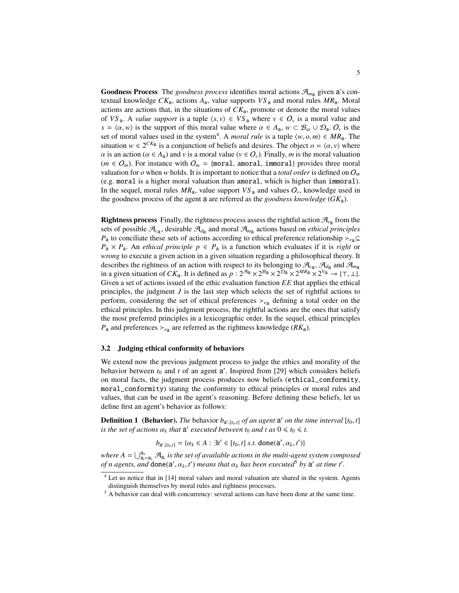**Goodness Process** The *goodness process* identifies moral actions  $\mathcal{A}_{m_{\mathbf{a}}}$  given a's contextual knowledge *CK*a, actions *A*a, value supports *VS* <sup>a</sup> and moral rules *MR*a. Moral actions are actions that, in the situations of  $CK<sub>a</sub>$ , promote or demote the moral values of *VS*<sub>a</sub>. A *value support* is a tuple  $\langle s, v \rangle \in VS_a$  where  $v \in O_v$  is a moral value and *s* =  $\langle \alpha, w \rangle$  is the support of this moral value where  $\alpha \in A_a$ ,  $w \subset B_{ai} \cup D_a$ .  $O_v$  is the set of moral values used in the system<sup>[4](#page-4-1)</sup>. A *moral rule* is a tuple  $\langle w, o, m \rangle \in MR_a$ . The struction  $w \in 2^{CKa}$  is a conjunction of beliefs and desires. The object  $o = \langle \alpha, v \rangle$  where situation  $w \in 2^{CKa}$  is a conjunction of beliefs and desires. The object  $o = \langle \alpha, v \rangle$  where  $\alpha$  is an action  $(\alpha \in A)$  and *v* is a moral value  $(v \in A)$ . Finally m is the moral valuation  $\alpha$  is an action ( $\alpha \in A_a$ ) and  $\nu$  is a moral value ( $\nu \in O_{\nu}$ ). Finally, *m* is the moral valuation  $(m \in O_m)$ . For instance with  $O_m = \{ \text{moral}, \text{amoral}, \text{immoral} \}$  provides three moral valuation for *o* when *w* holds. It is important to notice that a *total order* is defined on O*<sup>m</sup>* (e.g. moral is a higher moral valuation than amoral, which is higher than immoral). In the sequel, moral rules  $MR_a$ , value support  $VS_a$  and values  $O_v$ , knowledge used in the goodness process of the agent a are referred as the *goodness knowledge* (*GK*a).

**Rightness process** Finally, the rightness process assess the rightful action  $\mathcal{A}_{r}$  from the sets of possible  $\mathcal{A}_{c}$ , desirable  $\mathcal{A}_{d}$  and moral  $\mathcal{A}_{m}$  actions based on *ethical principles P*<sub>a</sub> to conciliate these sets of actions according to ethical preference relationship ><sub>ea</sub>⊆  $P_a \times P_a$ . An *ethical principle*  $p \in P_a$  is a function which evaluates if it is *right* or *wrong* to execute a given action in a given situation regarding a philosophical theory. It describes the rightness of an action with respect to its belonging to  $\mathcal{A}_{c_1}$ ,  $\mathcal{A}_{d_2}$  and  $\mathcal{A}_{m_3}$ in a given situation of *CK*<sub>a</sub>. It is defined as  $p: 2^{\mathcal{A}_a} \times 2^{\mathcal{B}_a} \times 2^{\mathcal{D}_a} \times 2^{\mathcal{M}a} \times 2^{\mathcal{V}_a} \to \{\top, \bot\}$ .<br>Given a set of actions issued of the ethic evaluation function *EF* that applies the ethical Given a set of actions issued of the ethic evaluation function *EE* that applies the ethical principles, the judgment *J* is the last step which selects the set of rightful actions to perform, considering the set of ethical preferences  $\vucceq_{e_{a}}$  defining a total order on the ethical principles. In this judgment process, the rightful actions are the ones that satisfy the most preferred principles in a lexicographic order. In the sequel, ethical principles  $P_a$  and preferences  $\geq_{e_a}$  are referred as the rightness knowledge ( $RK_a$ ).

### <span id="page-4-0"></span>3.2 Judging ethical conformity of behaviors

We extend now the previous judgment process to judge the ethics and morality of the behavior between  $t_0$  and  $t$  of an agent  $a'$ . Inspired from [\[29\]](#page-13-13) which considers beliefs on moral facts, the judgment process produces now beliefs (ethical\_conformity, moral\_conformity) stating the conformity to ethical principles or moral rules and values, that can be used in the agent's reasoning. Before defining these beliefs, let us define first an agent's behavior as follows:

**Definition 1 (Behavior).** The behavior  $b_{\mathbf{a}', [t_0, t]}$  of an agent  $\mathbf{a}'$  on the time interval  $[t_0, t]$  is the set of actions  $\alpha$ , that  $\mathbf{a}'$  executed hetween to and t as  $0 \le t_0 \le t$ *is the set of actions*  $\alpha_k$  *that*  $a'$  *executed between*  $t_0$  *and*  $t$  *as*  $0 \le t_0 \le t$ *.* 

 $b_{a',[t_0,t]} = \{ \alpha_k \in A : \exists t' \in [t_0,t] \text{ s.t. } \text{done}(a', \alpha_k, t') \}$ 

where  $A=\bigcup_{\mathsf{a}_i=\mathsf{a}_1}^{\mathsf{a}_n} \mathcal{A}_{\mathsf{a}_i}$  is the set of available actions in the multi-agent system composed *of n agents, and done(a',*  $\alpha_k$ *, t') means that*  $\alpha_k$  *has been executed*<sup>[5](#page-4-2)</sup> *by* **a'** *at time t'.* 

<span id="page-4-1"></span><sup>4</sup> Let us notice that in [\[14\]](#page-12-0) moral values and moral valuation are shared in the system. Agents distinguish themselves by moral rules and rightness processes.

<span id="page-4-2"></span><sup>&</sup>lt;sup>5</sup> A behavior can deal with concurrency: several actions can have been done at the same time.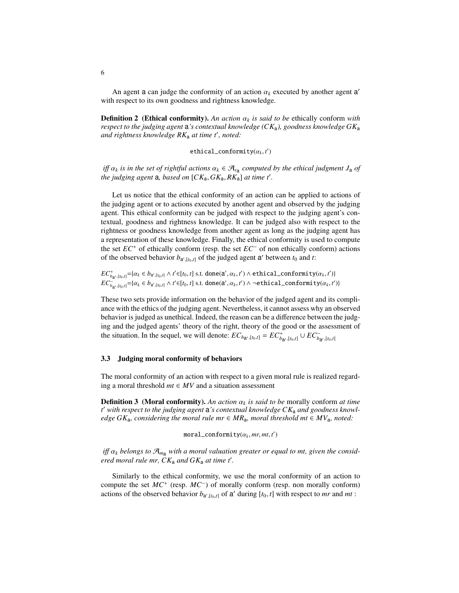An agent a can judge the conformity of an action  $\alpha_k$  executed by another agent a' prespect to its own goodness and rightness knowledge with respect to its own goodness and rightness knowledge.

**Definition 2** (Ethical conformity). An action  $\alpha_k$  is said to be ethically conform with *respect to the judging agent* a*'s contextual knowledge (CK*a*), goodness knowledge GK*<sup>a</sup> *and rightness knowledge RK*<sup>a</sup> *at time t*<sup>0</sup> *, noted:*

 $\text{ethical\_conformity}(\alpha_k, t')$ 

*i*ff  $\alpha_k$  *is in the set of rightful actions*  $\alpha_k \in \mathcal{A}_{r_a}$  *computed by the ethical judgment*  $J_a$  *of* the *indging gagnt*  $\alpha_k$  *and*  $\alpha_k \in \mathcal{A}_{r_a}$  *at time t' the judging agent* **a**, *based on*  $[CK_a, GK_a, RK_a]$  *at time t'.* 

Let us notice that the ethical conformity of an action can be applied to actions of the judging agent or to actions executed by another agent and observed by the judging agent. This ethical conformity can be judged with respect to the judging agent's contextual, goodness and rightness knowledge. It can be judged also with respect to the rightness or goodness knowledge from another agent as long as the judging agent has a representation of these knowledge. Finally, the ethical conformity is used to compute the set *EC*<sup>+</sup> of ethically conform (resp. the set *EC*<sup>−</sup> of non ethically conform) actions of the observed behavior  $b_{a',[t_0,t]}$  of the judged agent a' between  $t_0$  and  $t$ :

 $EC_{ba',[t_0,t]}^+ = {\alpha_k \in b_{a',[t_0,t]} \wedge t' \in [t_0,t]}$  s.t. done(a',  $\alpha_k, t') \wedge \text{ethical\_conformity}(\alpha_k, t')$  $EC_{b_{\mathbf{a}',[t_0,t]} = \{ \alpha_k \in b_{\mathbf{a}',[t_0,t]} \wedge t' \in [t_0,t] \text{ s.t. } \text{done}(\mathbf{a}',\alpha_k,t') \wedge \neg \text{ethical\_conformity}(\alpha_k,t') \}$ 

These two sets provide information on the behavior of the judged agent and its compliance with the ethics of the judging agent. Nevertheless, it cannot assess why an observed behavior is judged as unethical. Indeed, the reason can be a difference between the judging and the judged agents' theory of the right, theory of the good or the assessment of the situation. In the sequel, we will denote:  $EC_{b_{\mathbf{a}',[t_0,t]}} = EC^+_{b_{\mathbf{a}',[t_0,t]}} \cup EC^-_{b_{\mathbf{a}',[t_0,t]} }$ 

#### <span id="page-5-0"></span>3.3 Judging moral conformity of behaviors

The moral conformity of an action with respect to a given moral rule is realized regarding a moral threshold *mt* ∈ *MV* and a situation assessment

**Definition 3** (Moral conformity). An action  $\alpha_k$  is said to be morally conform at time *t* <sup>0</sup> *with respect to the judging agent* a*'s contextual knowledge CK*<sup>a</sup> *and goodness knowledge GK*<sub>a</sub>*, considering the moral rule mr* ∈ *MR*<sub>a</sub>*, moral threshold mt* ∈ *MV*<sub>a</sub>*, noted*:

 $\text{moral\_conformity}(a_k, mr, mt, t')$ 

*iff*  $\alpha_k$  *belongs to*  $\mathcal{A}_{m}$  *with a moral valuation greater or equal to mt, given the considered moral rule mr,*  $\overline{C}K_a$  *and*  $\overline{G}K_a$  *at time t'.* 

Similarly to the ethical conformity, we use the moral conformity of an action to compute the set  $MC^+$  (resp.  $MC^-$ ) of morally conform (resp. non morally conform) actions of the observed behavior  $b_{a',[t_0,t]}$  of a' during  $[t_0, t]$  with respect to *mr* and *mt* :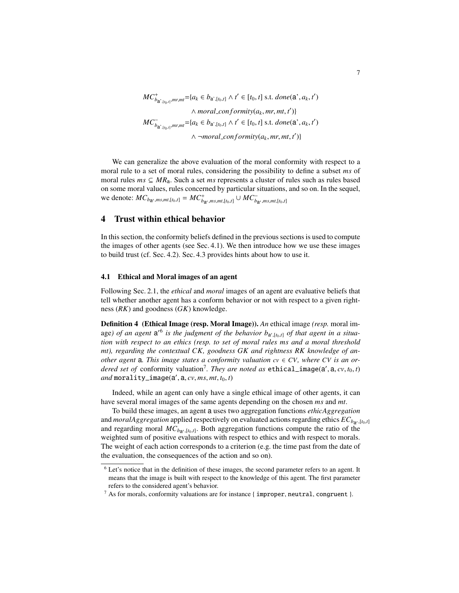$$
MC_{b_{\mathbf{a}^i, [t_0, t]}, mr, mt}^+ = \{a_k \in b_{\mathbf{a}^i, [t_0, t]} \land t' \in [t_0, t] \text{ s.t. } done(\mathbf{a}^i, a_k, t')
$$
  
 
$$
\land \text{ moral\_conformity}(a_k, mr, mt, t')\}
$$
  

$$
MC_{b_{\mathbf{a}^i, [t_0, t]}, mr, mt'}^- = \{a_k \in b_{\mathbf{a}^i, [t_0, t]} \land t' \in [t_0, t] \text{ s.t. } done(\mathbf{a}^i, a_k, t')
$$
  

$$
\land \neg \text{moral\_conformity}(a_k, mr, mt, t')\}
$$

We can generalize the above evaluation of the moral conformity with respect to a moral rule to a set of moral rules, considering the possibility to define a subset *ms* of moral rules *ms* ⊆ *MR*a. Such a set *ms* represents a cluster of rules such as rules based on some moral values, rules concerned by particular situations, and so on. In the sequel,  $\text{we denote: } MC_{b_{\mathbf{a}'},m s,m t, [t_0,t]} = MC_{b_{\mathbf{a}'},m s,m t, [t_0,t]}^+ \cup MC_{b_{\mathbf{a}'},m s,m t, [t_0,t]}^+$ 

## <span id="page-6-0"></span>4 Trust within ethical behavior

In this section, the conformity beliefs defined in the previous sections is used to compute the images of other agents (see Sec. [4.1\)](#page-6-1). We then introduce how we use these images to build trust (cf. Sec. [4.2\)](#page-7-0). Sec. [4.3](#page-7-1) provides hints about how to use it.

#### <span id="page-6-1"></span>4.1 Ethical and Moral images of an agent

Following Sec. [2.1,](#page-1-1) the *ethical* and *moral* images of an agent are evaluative beliefs that tell whether another agent has a conform behavior or not with respect to a given rightness (*RK*) and goodness (*GK*) knowledge.

Definition 4 (Ethical Image (resp. Moral Image)). *An* ethical image *(resp.* moral image*)* of an agent  $a'^6$  $a'^6$  is the judgment of the behavior  $b_{a',[t_0,t]}$  of that agent in a situa-<br>tion with agence to an othics (norm to get of monal nulse we and a monal threshold *tion with respect to an ethics (resp. to set of moral rules ms and a moral threshold mt), regarding the contextual CK, goodness GK and rightness RK knowledge of another agent* **a**. This image states a conformity valuation  $cv \in CV$ , where CV is an or*dered set of* conformity valuation<sup>[7](#page-6-3)</sup>. They are noted as  $\text{ethical\_image}(a', a, cv, t_0, t)$ <br>and morality image( $a' \neq cv$  ms mt  $t_0, t$ )  $and$   $morality\_image(a', a, cv, ms, mt, t_0, t)$ 

Indeed, while an agent can only have a single ethical image of other agents, it can have several moral images of the same agents depending on the chosen *ms* and *mt*.

To build these images, an agent a uses two aggregation functions *ethicAggregation* and *moralAggregation* applied respectively on evaluated actions regarding ethics  $EC_{b_{\alpha}, [t_0, t]}$ and regarding moral  $MC_{b_{\alpha'},[t_0,t]}$ . Both aggregation functions compute the ratio of the magnetic contributions with regard to reference to magnetic magnetic magnetic magnetic magnetic magnetic magnetic magnetic magnetic weighted sum of positive evaluations with respect to ethics and with respect to morals. The weight of each action corresponds to a criterion (e.g. the time past from the date of the evaluation, the consequences of the action and so on).

<span id="page-6-2"></span><sup>&</sup>lt;sup>6</sup> Let's notice that in the definition of these images, the second parameter refers to an agent. It means that the image is built with respect to the knowledge of this agent. The first parameter refers to the considered agent's behavior.

<span id="page-6-3"></span> $^7$  As for morals, conformity valuations are for instance { <improper>, <neutral>, <congruent> }.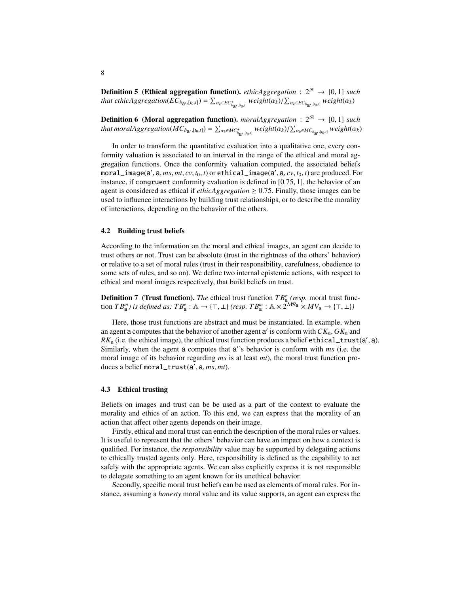**Definition 5** (Ethical aggregation function). *ethicAggregation* :  $2^{\mathcal{A}} \rightarrow [0, 1]$  *such* that ethicAggregation( $EC_{b_{\mathbf{a}'},[t_0,t]}) = \sum_{\alpha_k \in EC_{b_{\mathbf{a}'},[t_0,t]}} weight(\alpha_k)/\sum_{\alpha_k \in EC_{b_{\mathbf{a}'},[t_0,t]}} weight(\alpha_k)$ 

**Definition 6** (Moral aggregation function). *moralAggregation* :  $2^{\mathcal{A}} \rightarrow [0, 1]$  *such* that moral $Aggregation(MC_{b_{\mathbf{a}'},[t_0,t]}) = \sum_{\alpha_k \in MC^+_{b_{\mathbf{a}'},[t_0,t]}} weight(\alpha_k)/\sum_{\alpha_k \in MC_{b_{\mathbf{a}'},[t_0,t]}} weight(\alpha_k)$ 

In order to transform the quantitative evaluation into a qualitative one, every conformity valuation is associated to an interval in the range of the ethical and moral aggregation functions. Once the conformity valuation computed, the associated beliefs moral\_image( $a'$ ,  $a$ ,  $ms$ ,  $mt$ ,  $cv$ ,  $t_0$ ,  $t$ ) or ethical\_image( $a'$ ,  $a$ ,  $cv$ ,  $t_0$ ,  $t$ ) are produced. For instance if congruent conformity evaluation is defined in [0.75, 1], the behavior of an instance, if congruent conformity evaluation is defined in [0.75, 1], the behavior of an agent is considered as ethical if *ethicAggregation*  $\geq$  0.75. Finally, those images can be used to influence interactions by building trust relationships, or to describe the morality of interactions, depending on the behavior of the others.

#### <span id="page-7-0"></span>4.2 Building trust beliefs

According to the information on the moral and ethical images, an agent can decide to trust others or not. Trust can be absolute (trust in the rightness of the others' behavior) or relative to a set of moral rules (trust in their responsibility, carefulness, obedience to some sets of rules, and so on). We define two internal epistemic actions, with respect to ethical and moral images respectively, that build beliefs on trust.

Definition 7 (Trust function). *The* ethical trust function *T B<sup>e</sup> (resp.* moral trust func-**Definition** *T* (**Figst function**). The efficial trust function  $T B_{\text{a}}^n$  (*resp.* moral trust function  $T B_{\text{a}}^m$ ) is defined as:  $T B_{\text{a}}^e : \mathbb{A} \to \{\top, \bot\}$  (*resp.*  $T B_{\text{a}}^m : \mathbb{A} \times 2^{\mathcal{M} \mathbb{R}_{\text{a}}} \times MV_{\$ 

Here, those trust functions are abstract and must be instantiated. In example, when an agent a computes that the behavior of another agent  $a'$  is conform with  $CK_a$ ,  $GK_a$  and  $RK_a$  (i.e. the ethical image), the ethical trust function produces a belief ethical\_trust(a', a).<br>Similarly, when the agent a computes that a''s behavior is conform with ms (i.e. the Similarly, when the agent a computes that a''s behavior is conform with *ms* (i.e. the moral image of its behavior regarding *ms* is at least *mt*), the moral trust function produces a belief moral\_trust(a', a, ms, mt).

#### <span id="page-7-1"></span>4.3 Ethical trusting

Beliefs on images and trust can be be used as a part of the context to evaluate the morality and ethics of an action. To this end, we can express that the morality of an action that affect other agents depends on their image.

Firstly, ethical and moral trust can enrich the description of the moral rules or values. It is useful to represent that the others' behavior can have an impact on how a context is qualified. For instance, the *responsibility* value may be supported by delegating actions to ethically trusted agents only. Here, responsibility is defined as the capability to act safely with the appropriate agents. We can also explicitly express it is not responsible to delegate something to an agent known for its unethical behavior.

Secondly, specific moral trust beliefs can be used as elements of moral rules. For instance, assuming a *honesty* moral value and its value supports, an agent can express the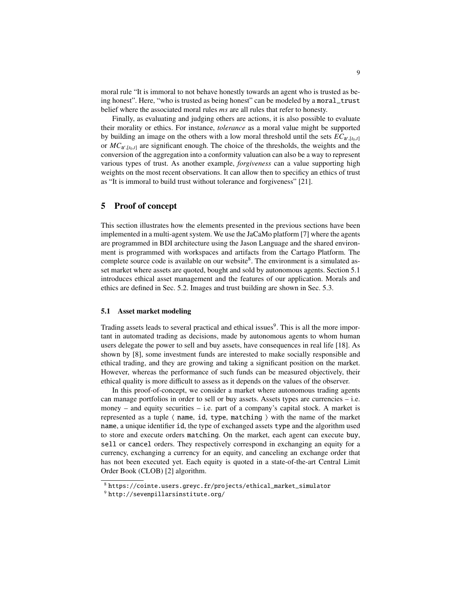moral rule "It is immoral to not behave honestly towards an agent who is trusted as being honest". Here, "who is trusted as being honest" can be modeled by a moral\_trust belief where the associated moral rules *ms* are all rules that refer to honesty.

Finally, as evaluating and judging others are actions, it is also possible to evaluate their morality or ethics. For instance, *tolerance* as a moral value might be supported by building an image on the others with a low moral threshold until the sets  $EC_{\alpha',[t_0,t]}$ or  $MC_{\mathbf{a}',[t_0,t]}$  are significant enough. The choice of the thresholds, the weights and the conversion of the aggregation into a conformity valuation can also be a way to represent conversion of the aggregation into a conformity valuation can also be a way to represent various types of trust. As another example, *forgiveness* can a value supporting high weights on the most recent observations. It can allow then to specificy an ethics of trust as "It is immoral to build trust without tolerance and forgiveness" [\[21\]](#page-13-14).

## <span id="page-8-0"></span>5 Proof of concept

This section illustrates how the elements presented in the previous sections have been implemented in a multi-agent system. We use the JaCaMo platform [\[7\]](#page-12-1) where the agents are programmed in BDI architecture using the Jason Language and the shared environment is programmed with workspaces and artifacts from the Cartago Platform. The complete source code is available on our website $8$ . The environment is a simulated asset market where assets are quoted, bought and sold by autonomous agents. Section [5.1](#page-8-2) introduces ethical asset management and the features of our application. Morals and ethics are defined in Sec. [5.2.](#page-9-0) Images and trust building are shown in Sec. [5.3.](#page-10-0)

#### <span id="page-8-2"></span>5.1 Asset market modeling

Trading assets leads to several practical and ethical issues<sup>[9](#page-8-3)</sup>. This is all the more important in automated trading as decisions, made by autonomous agents to whom human users delegate the power to sell and buy assets, have consequences in real life [\[18\]](#page-12-17). As shown by [\[8\]](#page-12-18), some investment funds are interested to make socially responsible and ethical trading, and they are growing and taking a significant position on the market. However, whereas the performance of such funds can be measured objectively, their ethical quality is more difficult to assess as it depends on the values of the observer.

In this proof-of-concept, we consider a market where autonomous trading agents can manage portfolios in order to sell or buy assets. Assets types are currencies  $-$  i.e. money – and equity securities – i.e. part of a company's capital stock. A market is represented as a tuple  $\langle$  name, id, type, matching  $\rangle$  with the name of the market name, a unique identifier id, the type of exchanged assets type and the algorithm used to store and execute orders matching. On the market, each agent can execute buy, sell or cancel orders. They respectively correspond in exchanging an equity for a currency, exchanging a currency for an equity, and canceling an exchange order that has not been executed yet. Each equity is quoted in a state-of-the-art Central Limit Order Book (CLOB) [\[2\]](#page-12-19) algorithm.

<span id="page-8-1"></span><sup>8</sup> [https://cointe.users.greyc.fr/projects/ethical\\_market\\_simulator](https://cointe.users.greyc.fr/projects/ethical_market_simulator)

<span id="page-8-3"></span><sup>9</sup> <http://sevenpillarsinstitute.org/>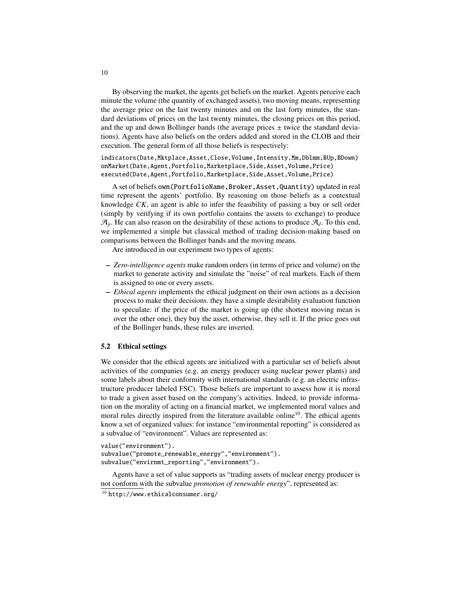By observing the market, the agents get beliefs on the market. Agents perceive each minute the volume (the quantity of exchanged assets), two moving means, representing the average price on the last twenty minutes and on the last forty minutes, the standard deviations of prices on the last twenty minutes, the closing prices on this period, and the up and down Bollinger bands (the average prices  $\pm$  twice the standard deviations). Agents have also beliefs on the orders added and stored in the CLOB and their execution. The general form of all those beliefs is respectively:

indicators(Date,Mktplace,Asset,Close,Volume,Intensity,Mm,Dblmm,BUp,BDown) onMarket(Date,Agent,Portfolio,Marketplace,Side,Asset,Volume,Price) executed(Date,Agent,Portfolio,Marketplace,Side,Asset,Volume,Price)

A set of beliefs own(PortfolioName,Broker,Asset,Quantity) updated in real time represent the agents' portfolio. By reasoning on those beliefs as a contextual knowledge *CK*, an agent is able to infer the feasibility of passing a buy or sell order (simply by verifying if its own portfolio contains the assets to exchange) to produce  $\mathcal{A}_p$ . He can also reason on the desirability of these actions to produce  $\mathcal{A}_d$ . To this end, we implemented a simple but classical method of trading decision-making based on comparisons between the Bollinger bands and the moving means.

Are introduced in our experiment two types of agents:

- *Zero-intelligence agents* make random orders (in terms of price and volume) on the market to generate activity and simulate the "noise" of real markets. Each of them is assigned to one or every assets.
- *Ethical agents* implements the ethical judgment on their own actions as a decision process to make their decisions. they have a simple desirability evaluation function to speculate: if the price of the market is going up (the shortest moving mean is over the other one), they buy the asset, otherwise, they sell it. If the price goes out of the Bollinger bands, these rules are inverted.

### <span id="page-9-0"></span>5.2 Ethical settings

We consider that the ethical agents are initialized with a particular set of beliefs about activities of the companies (e.g. an energy producer using nuclear power plants) and some labels about their conformity with international standards (e.g. an electric infrastructure producer labeled FSC). Those beliefs are important to assess how it is moral to trade a given asset based on the company's activities. Indeed, to provide information on the morality of acting on a financial market, we implemented moral values and moral rules directly inspired from the literature available online $10$ . The ethical agents know a set of organized values: for instance "environmental reporting" is considered as a subvalue of "environment". Values are represented as:

value("environment"). subvalue("promote\_renewable\_energy","environment"). subvalue("envirnmt\_reporting","environment").

Agents have a set of value supports as "trading assets of nuclear energy producer is not conform with the subvalue *promotion of renewable energy*", represented as:

10

<span id="page-9-1"></span><sup>10</sup> <http://www.ethicalconsumer.org/>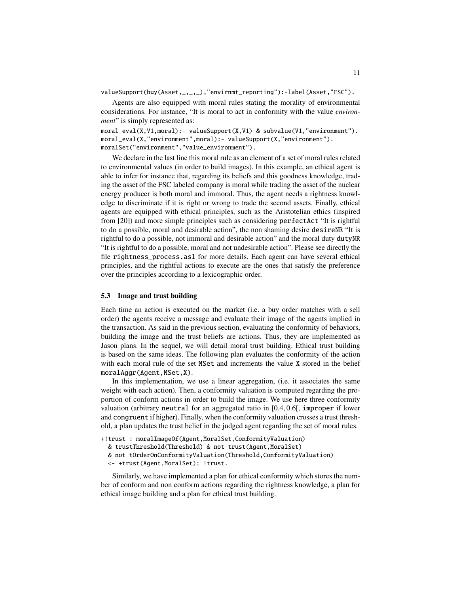valueSupport(buy(Asset,\_,\_,\_),"envirnmt\_reporting"):-label(Asset,"FSC").

Agents are also equipped with moral rules stating the morality of environmental considerations. For instance, "It is moral to act in conformity with the value *environment*" is simply represented as:

moral\_eval(X,V1,moral):- valueSupport(X,V1) & subvalue(V1,"environment"). moral\_eval(X,"environment",moral):- valueSupport(X,"environment"). moralSet("environment","value\_environment").

We declare in the last line this moral rule as an element of a set of moral rules related to environmental values (in order to build images). In this example, an ethical agent is able to infer for instance that, regarding its beliefs and this goodness knowledge, trading the asset of the FSC labeled company is moral while trading the asset of the nuclear energy producer is both moral and immoral. Thus, the agent needs a rightness knowledge to discriminate if it is right or wrong to trade the second assets. Finally, ethical agents are equipped with ethical principles, such as the Aristotelian ethics (inspired from [\[20\]](#page-12-10)) and more simple principles such as considering perfectAct "It is rightful to do a possible, moral and desirable action", the non shaming desire desireNR "It is rightful to do a possible, not immoral and desirable action" and the moral duty dutyNR "It is rightful to do a possible, moral and not undesirable action". Please see directly the file rightness\_process.asl for more details. Each agent can have several ethical principles, and the rightful actions to execute are the ones that satisfy the preference over the principles according to a lexicographic order.

#### <span id="page-10-0"></span>5.3 Image and trust building

Each time an action is executed on the market (i.e. a buy order matches with a sell order) the agents receive a message and evaluate their image of the agents implied in the transaction. As said in the previous section, evaluating the conformity of behaviors, building the image and the trust beliefs are actions. Thus, they are implemented as Jason plans. In the sequel, we will detail moral trust building. Ethical trust building is based on the same ideas. The following plan evaluates the conformity of the action with each moral rule of the set MSet and increments the value X stored in the belief moralAggr(Agent,MSet,X).

In this implementation, we use a linear aggregation, (i.e. it associates the same weight with each action). Then, a conformity valuation is computed regarding the proportion of conform actions in order to build the image. We use here three conformity valuation (arbitrary neutral for an aggregated ratio in [0.4, <sup>0</sup>.6[, improper if lower and congruent if higher). Finally, when the conformity valuation crosses a trust threshold, a plan updates the trust belief in the judged agent regarding the set of moral rules.

```
+!trust : moralImageOf(Agent,MoralSet,ConformityValuation)
```
- & trustThreshold(Threshold) & not trust(Agent,MoralSet)
- & not tOrderOnConformityValuation(Threshold,ConformityValuation)
- <- +trust(Agent,MoralSet); !trust.

Similarly, we have implemented a plan for ethical conformity which stores the number of conform and non conform actions regarding the rightness knowledge, a plan for ethical image building and a plan for ethical trust building.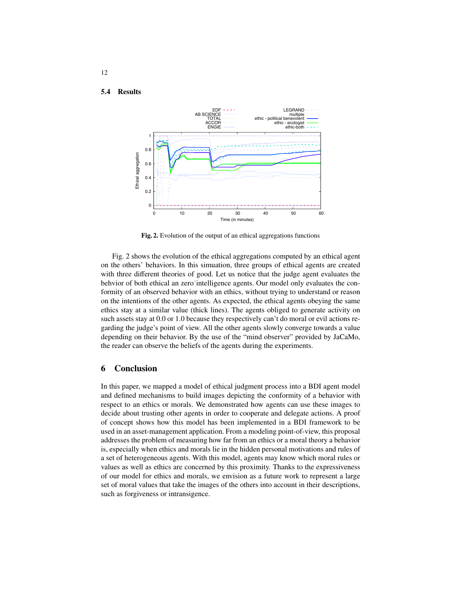#### $5.4$ **Results**



<span id="page-11-0"></span>Fig. 2. Evolution of the output of an ethical aggregations functions

Fig. 2 shows the evolution of the ethical aggregations computed by an ethical agent on the others' behaviors. In this simuation, three groups of ethical agents are created with three different theories of good. Let us notice that the judge agent evaluates the behvior of both ethical an zero intelligence agents. Our model only evaluates the conformity of an observed behavior with an ethics, without trying to understand or reason on the intentions of the other agents. As expected, the ethical agents obeying the same ethics stay at a similar value (thick lines). The agents obliged to generate activity on such assets stay at 0.0 or 1.0 because they respectively can't do moral or evil actions regarding the judge's point of view. All the other agents slowly converge towards a value depending on their behavior. By the use of the "mind observer" provided by JaCaMo, the reader can observe the beliefs of the agents during the experiments.

#### 6 **Conclusion**

In this paper, we mapped a model of ethical judgment process into a BDI agent model and defined mechanisms to build images depicting the conformity of a behavior with respect to an ethics or morals. We demonstrated how agents can use these images to decide about trusting other agents in order to cooperate and delegate actions. A proof of concept shows how this model has been implemented in a BDI framework to be used in an asset-management application. From a modeling point-of-view, this proposal addresses the problem of measuring how far from an ethics or a moral theory a behavior is, especially when ethics and morals lie in the hidden personal motivations and rules of a set of heterogeneous agents. With this model, agents may know which moral rules or values as well as ethics are concerned by this proximity. Thanks to the expressiveness of our model for ethics and morals, we envision as a future work to represent a large set of moral values that take the images of the others into account in their descriptions, such as forgiveness or intransigence.

12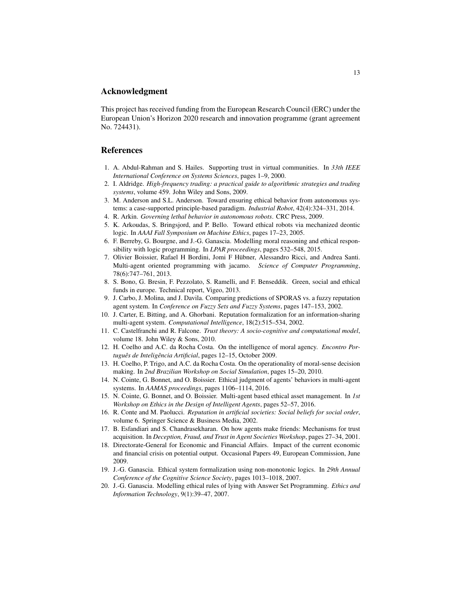## Acknowledgment

This project has received funding from the European Research Council (ERC) under the European Union's Horizon 2020 research and innovation programme (grant agreement No. 724431).

## References

- <span id="page-12-4"></span>1. A. Abdul-Rahman and S. Hailes. Supporting trust in virtual communities. In *33th IEEE International Conference on Systems Sciences*, pages 1–9, 2000.
- <span id="page-12-19"></span>2. I. Aldridge. *High-frequency trading: a practical guide to algorithmic strategies and trading systems*, volume 459. John Wiley and Sons, 2009.
- <span id="page-12-12"></span>3. M. Anderson and S.L. Anderson. Toward ensuring ethical behavior from autonomous systems: a case-supported principle-based paradigm. *Industrial Robot*, 42(4):324–331, 2014.
- <span id="page-12-13"></span>4. R. Arkin. *Governing lethal behavior in autonomous robots*. CRC Press, 2009.
- <span id="page-12-11"></span>5. K. Arkoudas, S. Bringsjord, and P. Bello. Toward ethical robots via mechanized deontic logic. In *AAAI Fall Symposium on Machine Ethics*, pages 17–23, 2005.
- <span id="page-12-8"></span>6. F. Berreby, G. Bourgne, and J.-G. Ganascia. Modelling moral reasoning and ethical responsibility with logic programming. In *LPAR proceedings*, pages 532–548, 2015.
- <span id="page-12-1"></span>7. Olivier Boissier, Rafael H Bordini, Jomi F Hubner, Alessandro Ricci, and Andrea Santi. ¨ Multi-agent oriented programming with jacamo. *Science of Computer Programming*, 78(6):747–761, 2013.
- <span id="page-12-18"></span>8. S. Bono, G. Bresin, F. Pezzolato, S. Ramelli, and F. Benseddik. Green, social and ethical funds in europe. Technical report, Vigeo, 2013.
- <span id="page-12-5"></span>9. J. Carbo, J. Molina, and J. Davila. Comparing predictions of SPORAS vs. a fuzzy reputation agent system. In *Conference on Fuzzy Sets and Fuzzy Systems*, pages 147–153, 2002.
- <span id="page-12-7"></span>10. J. Carter, E. Bitting, and A. Ghorbani. Reputation formalization for an information-sharing multi-agent system. *Computational Intelligence*, 18(2):515–534, 2002.
- <span id="page-12-2"></span>11. C. Castelfranchi and R. Falcone. *Trust theory: A socio-cognitive and computational model*, volume 18. John Wiley & Sons, 2010.
- <span id="page-12-14"></span>12. H. Coelho and A.C. da Rocha Costa. On the intelligence of moral agency. *Encontro Portuguˆes de Inteligˆencia Artificial*, pages 12–15, October 2009.
- <span id="page-12-15"></span>13. H. Coelho, P. Trigo, and A.C. da Rocha Costa. On the operationality of moral-sense decision making. In *2nd Brazilian Workshop on Social Simulation*, pages 15–20, 2010.
- <span id="page-12-0"></span>14. N. Cointe, G. Bonnet, and O. Boissier. Ethical judgment of agents' behaviors in multi-agent systems. In *AAMAS proceedings*, pages 1106–1114, 2016.
- <span id="page-12-16"></span>15. N. Cointe, G. Bonnet, and O. Boissier. Multi-agent based ethical asset management. In *1st Workshop on Ethics in the Design of Intelligent Agents*, pages 52–57, 2016.
- <span id="page-12-3"></span>16. R. Conte and M. Paolucci. *Reputation in artificial societies: Social beliefs for social order*, volume 6. Springer Science & Business Media, 2002.
- <span id="page-12-6"></span>17. B. Esfandiari and S. Chandrasekharan. On how agents make friends: Mechanisms for trust acquisition. In *Deception, Fraud, and Trust in Agent Societies Workshop*, pages 27–34, 2001.
- <span id="page-12-17"></span>18. Directorate-General for Economic and Financial Affairs. Impact of the current economic and financial crisis on potential output. Occasional Papers 49, European Commission, June 2009.
- <span id="page-12-9"></span>19. J.-G. Ganascia. Ethical system formalization using non-monotonic logics. In *29th Annual Conference of the Cognitive Science Society*, pages 1013–1018, 2007.
- <span id="page-12-10"></span>20. J.-G. Ganascia. Modelling ethical rules of lying with Answer Set Programming. *Ethics and Information Technology*, 9(1):39–47, 2007.